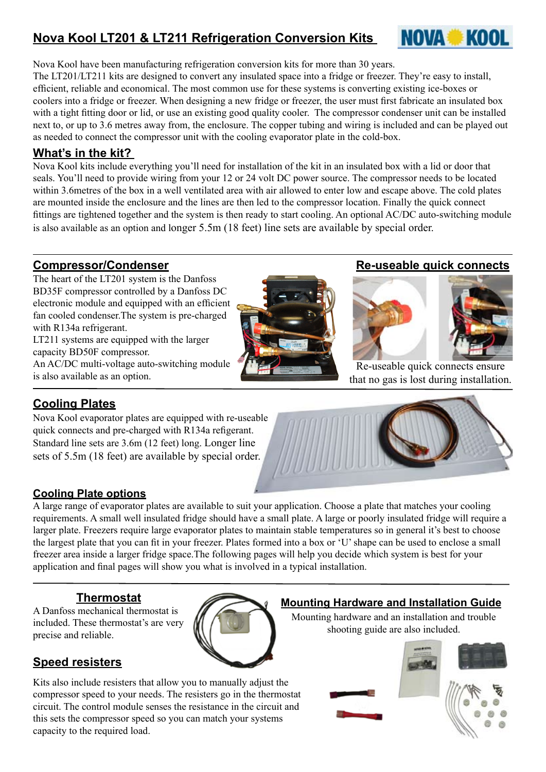# **Nova Kool LT201 & LT211 Refrigeration Conversion Kits**



Nova Kool have been manufacturing refrigeration conversion kits for more than 30 years.

The LT201/LT211 kits are designed to convert any insulated space into a fridge or freezer. They're easy to install, efficient, reliable and economical. The most common use for these systems is converting existing ice-boxes or coolers into a fridge or freezer. When designing a new fridge or freezer, the user must first fabricate an insulated box with a tight fitting door or lid, or use an existing good quality cooler. The compressor condenser unit can be installed next to, or up to 3.6 metres away from, the enclosure. The copper tubing and wiring is included and can be played out as needed to connect the compressor unit with the cooling evaporator plate in the cold-box.

## **What's in the kit?**

Nova Kool kits include everything you'll need for installation of the kit in an insulated box with a lid or door that seals. You'll need to provide wiring from your 12 or 24 volt DC power source. The compressor needs to be located within 3.6 metres of the box in a well ventilated area with air allowed to enter low and escape above. The cold plates are mounted inside the enclosure and the lines are then led to the compressor location. Finally the quick connect fittings are tightened together and the system is then ready to start cooling. An optional AC/DC auto-switching module is also available as an option and longer 5.5m (18 feet) line sets are available by special order.

## **Compressor/Condenser**

The heart of the LT201 system is the Danfoss BD35F compressor controlled by a Danfoss DC electronic module and equipped with an efficient fan cooled condenser.The system is pre-charged with R134a refrigerant. LT211 systems are equipped with the larger capacity BD50F compressor. An AC/DC multi-voltage auto-switching module is also available as an option.



### **Re-useable quick connects**



Re-useable quick connects ensure that no gas is lost during installation.

## **Cooling Plates**

Nova Kool evaporator plates are equipped with re-useable quick connects and pre-charged with R134a refigerant. Standard line sets are 3.6m (12 feet) long. Longer line sets of 5.5m (18 feet) are available by special order.

## **Cooling Plate options**

A large range of evaporator plates are available to suit your application. Choose a plate that matches your cooling requirements. A small well insulated fridge should have a small plate. A large or poorly insulated fridge will require a larger plate. Freezers require large evaporator plates to maintain stable temperatures so in general it's best to choose the largest plate that you can fit in your freezer. Plates formed into a box or 'U' shape can be used to enclose a small freezer area inside a larger fridge space.The following pages will help you decide which system is best for your application and final pages will show you what is involved in a typical installation.

## **Thermostat**

A Danfoss mechanical thermostat is included. These thermostat's are very precise and reliable.

## **Speed resisters**

Kits also include resisters that allow you to manually adjust the compressor speed to your needs. The resisters go in the thermostat circuit. The control module senses the resistance in the circuit and this sets the compressor speed so you can match your systems capacity to the required load.



# **Mounting Hardware and Installation Guide**

Mounting hardware and an installation and trouble shooting guide are also included.

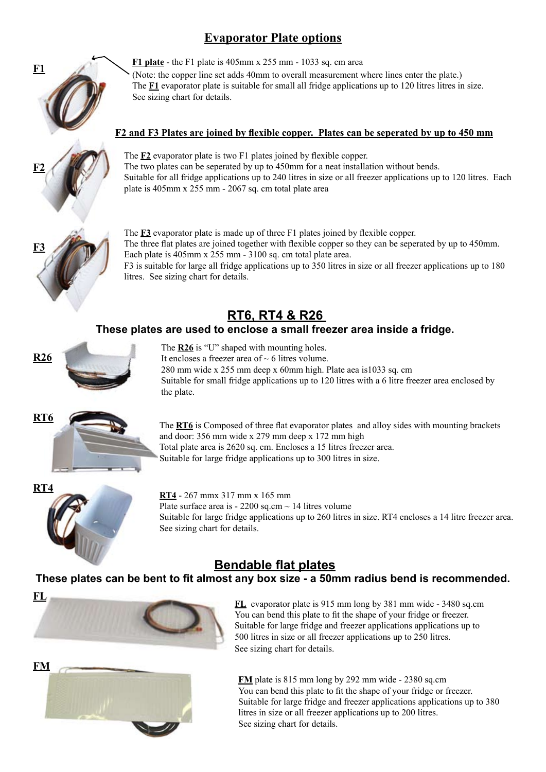# **Evaporator Plate options**



**F1 plate** - the F1 plate is 405mm x 255 mm - 1033 sq. cm area (Note: the copper line set adds 40mm to overall measurement where lines enter the plate.) The **F1** evaporator plate is suitable for small all fridge applications up to 120 litres litres in size. See sizing chart for details.

### **F2 and F3 Plates are joined by flexible copper. Plates can be seperated by up to 450 mm**



The **F2** evaporator plate is two F1 plates joined by flexible copper. The two plates can be seperated by up to 450mm for a neat installation without bends. Suitable for all fridge applications up to 240 litres in size or all freezer applications up to 120 litres. Each plate is 405mm x 255 mm - 2067 sq. cm total plate area



The **F3** evaporator plate is made up of three F1 plates joined by flexible copper. The three flat plates are joined together with flexible copper so they can be seperated by up to 450mm. Each plate is 405mm x 255 mm - 3100 sq. cm total plate area. F3 is suitable for large all fridge applications up to 350 litres in size or all freezer applications up to 180

# **RT6, RT4 & R26**

## **These plates are used to enclose a small freezer area inside a fridge.**



The **R26** is "U" shaped with mounting holes. It encloses a freezer area of  $\sim$  6 litres volume.

litres. See sizing chart for details.

280 mm wide x 255 mm deep x 60mm high. Plate aea is1033 sq. cm Suitable for small fridge applications up to 120 litres with a 6 litre freezer area enclosed by the plate.



The **RT6** is Composed of three flat evaporator plates and alloy sides with mounting brackets and door: 356 mm wide x 279 mm deep x 172 mm high Total plate area is 2620 sq. cm. Encloses a 15 litres freezer area. Suitable for large fridge applications up to 300 litres in size.



**RT4** - 267 mmx 317 mm x 165 mm Plate surface area is  $-2200$  sq.cm  $\sim$  14 litres volume Suitable for large fridge applications up to 260 litres in size. RT4 encloses a 14 litre freezer area. See sizing chart for details.

# **Bendable flat plates**

**These plates can be bent to fit almost any box size - a 50mm radius bend is recommended.** 





**FL** evaporator plate is 915 mm long by 381 mm wide - 3480 sq.cm You can bend this plate to fit the shape of your fridge or freezer. Suitable for large fridge and freezer applications applications up to 500 litres in size or all freezer applications up to 250 litres. See sizing chart for details.

**FM** plate is 815 mm long by 292 mm wide - 2380 sq.cm You can bend this plate to fit the shape of your fridge or freezer. Suitable for large fridge and freezer applications applications up to 380 litres in size or all freezer applications up to 200 litres. See sizing chart for details.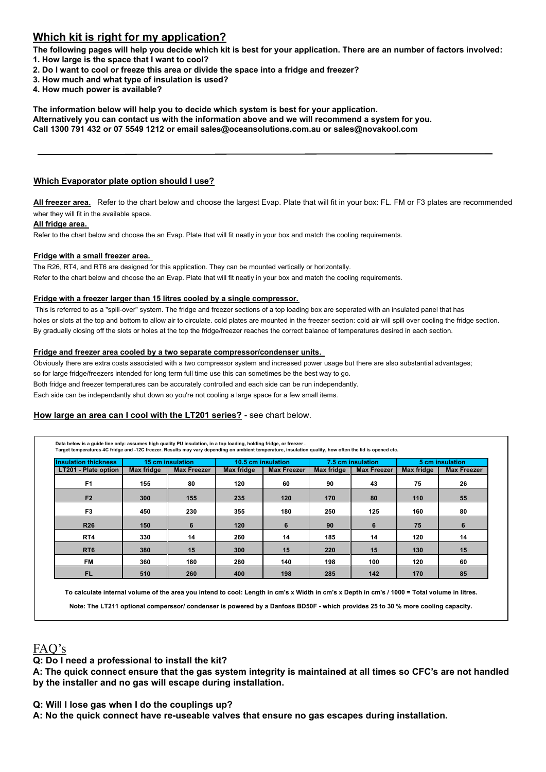### **Which kit is right for my application?**

**The following pages will help you decide which kit is best for your application. There are an number of factors involved:**

- **1. How large is the space that I want to cool?**
- **2. Do I want to cool or freeze this area or divide the space into a fridge and freezer?**
- **3. How much and what type of insulation is used?**
- **4. How much power is available?**

**The information below will help you to decide which system is best for your application.** 

**Alternatively you can contact us with the information above and we will recommend a system for you.** 

**Call 1300 791 432 or 07 5549 1212 or email sales@oceansolutions.com.au or sales@novakool.com**

### **Which Evaporator plate option should I use?**

**All freezer area.** Refer to the chart below and choose the largest Evap. Plate that will fit in your box: FL. FM or F3 plates are recommended wher they will fit in the available space.

**All fridge area.** 

Refer to the chart below and choose the an Evap. Plate that will fit neatly in your box and match the cooling requirements.

#### **Fridge with a small freezer area.**

The R26, RT4, and RT6 are designed for this application. They can be mounted vertically or horizontally. Refer to the chart below and choose the an Evap. Plate that will fit neatly in your box and match the cooling requirements.

#### **Fridge with a freezer larger than 15 litres cooled by a single compressor.**

 This is referred to as a "spill-over" system. The fridge and freezer sections of a top loading box are seperated with an insulated panel that has holes or slots at the top and bottom to allow air to circulate. cold plates are mounted in the freezer section: cold air will spill over cooling the fridge section. By gradually closing off the slots or holes at the top the fridge/freezer reaches the correct balance of temperatures desired in each section.

#### **Fridge and freezer area cooled by a two separate compressor/condenser units.**

Obviously there are extra costs associated with a two compressor system and increased power usage but there are also substantial advantages; so for large fridge/freezers intended for long term full time use this can sometimes be the best way to go. Both fridge and freezer temperatures can be accurately controlled and each side can be run independantly. Each side can be independantly shut down so you're not cooling a large space for a few small items.

### **How large an area can I cool with the LT201 series?** - see chart below.

| <b>Insulation thickness</b> | 15 cm insulation |                    | 10.5 cm insulation |                    | 7.5 cm insulation |                    | 5 cm insulation |                    |
|-----------------------------|------------------|--------------------|--------------------|--------------------|-------------------|--------------------|-----------------|--------------------|
| LT201 - Plate option        | Max fridge       | <b>Max Freezer</b> | Max fridge         | <b>Max Freezer</b> | Max fridge        | <b>Max Freezer</b> | Max fridge      | <b>Max Freezer</b> |
| F <sub>1</sub>              | 155              | 80                 | 120                | 60                 | 90                | 43                 | 75              | 26                 |
| F <sub>2</sub>              | 300              | 155                | 235                | 120                | 170               | 80                 | 110             | 55                 |
| F <sub>3</sub>              | 450              | 230                | 355                | 180                | 250               | 125                | 160             | 80                 |
| <b>R26</b>                  | 150              | 6                  | 120                | 6                  | 90                | 6                  | 75              | 6                  |
| RT <sub>4</sub>             | 330              | 14                 | 260                | 14                 | 185               | 14                 | 120             | 14                 |
| RT <sub>6</sub>             | 380              | 15                 | 300                | 15                 | 220               | 15                 | 130             | 15                 |
| <b>FM</b>                   | 360              | 180                | 280                | 140                | 198               | 100                | 120             | 60                 |
| <b>FL</b>                   | 510              | 260                | 400                | 198                | 285               | 142                | 170             | 85                 |

**To calculate internal volume of the area you intend to cool: Length in cm's x Width in cm's x Depth in cm's / 1000 = Total volume in litres.**

**Note: The LT211 optional comperssor/ condenser is powered by a Danfoss BD50F - which provides 25 to 30 % more cooling capacity.**

## **FAQ's** FAQ's

**Q: I've been told that a BD50 will work better in the Tropics? Q: Do I need a professional to install the kit?**

A: The quick connect ensure that the gas system integrity is maintained at all times so CFC's are not handled by the installer and no gas will escape during installation.

**Q: How much power will I need?** Q: Will I lose gas when I do the couplings up?  $\blacksquare$ 

A: No the quick connect have re-useable valves that ensure no gas escapes during installation.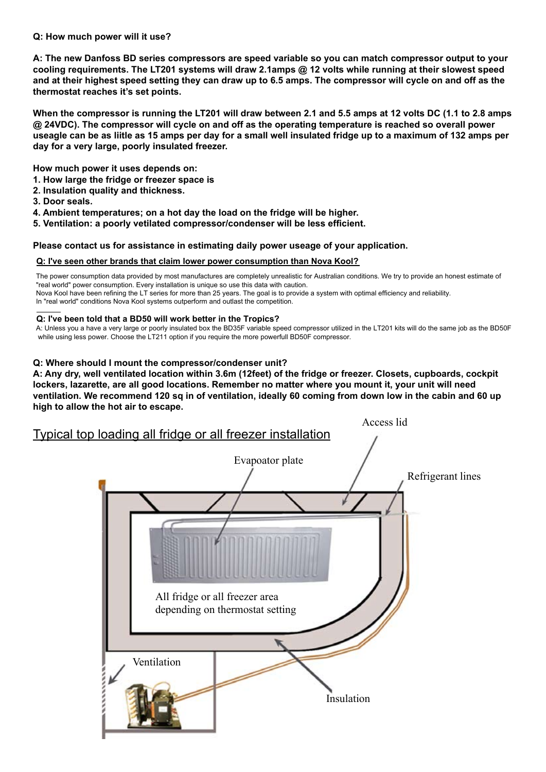#### Q: How much power will it use?  $\blacksquare$ **F3 450 230 355 180 250 125 160 80**

A: The new Danfoss BD series compressors are speed variable so you can match compressor output to your cooling requirements. The LT201 systems will draw 2.1amps @ 12 volts while running at their slowest speed **RT6 380 15 300 15 220 15 130 15 and at their highest speed setting they can draw up to 6.5 amps. The compressor will cycle on and off as the FM 360 180 280 140 198 100 120 60 thermostat reaches it's set points.** 

When the compressor is running the LT201 will draw between 2.1 and 5.5 amps at 12 volts DC (1.1 to 2.8 amps @ 24VDC). The compressor will cycle on and off as the operating temperature is reached so overall power useagle can be as liitle as 15 amps per day for a small well insulated fridge up to a maximum of 132 amps per **F2 300 155 235 120 170 80 110 55 day for a very large, poorly insulated freezer.** 

**F3 450 230 355 180 250 125 160 80 How much power it uses depends on:** 

- **R26 150 6 120 6 90 6 75 6 FAQ's 1. How large the fridge or freezer space is**
- **RT4 330 14 260 14 185 14 120 14 Q: I've been told that a BD50 will work better in the Tropics? 2. Insulation quality and thickness.**
- A: Unless you a have a very large or poorly insulated box the BD35F variable speed compressor utilized in the LT201 kits will do the same job as the BD50F **3. Door seals.**
- **RT6 380 15 300 15 220 15 130 15** 4. Ambient temperatures; on a hot day the load on the fridge will be higher.
- **FL 510 260 400 198 285 142 170 85 Q: How much power will I need? 5. Ventilation: a poorly vetilated compressor/condenser will be less efficient.**

Please contact us for assistance in estimating daily power useage of your application.

### <u>Q: I've seen other brands that claim lower power consumption than Nova Kool?</u>

"real world" power consumption. Every installation is unique so use this data with caution. The power consumption data provided by most manufactures are completely unrealistic for Australian conditions. We try to provide an honest estimate of

Nova Kool have been refining the LT series for more than 25 years. The goal is to provide a system with optimal efficiency and reliability. In "real world" conditions Nova Kool systems outperform and outlast the competition.

#### **FAQ's Q: I've been told that a BD50 will work better in the Tropics?**

A: Unless you a have a very large or poorly insulated box the BD35F variable speed compressor utilized in the LT201 kits will do the same job as the BD50F while using less power. Choose the LT211 option if you require the more powerfull BD50F compressor.

### **Q: Where should I mount the compressor/condenser unit?**

A: Any dry, well ventilated location within 3.6m (12feet) of the fridge or freezer. Closets, cupboards, cockpit lockers, lazarette, are all good locations. Remember no matter where you mount it, your unit will need  $\frac{1}{2}$  in power consumption data provided by most most manufactures are conditions. We try to provide a  $\frac{1}{2}$ high to allow the hot air to escape. **ventilation. We recommend 120 sq in of ventilation, ideally 60 coming from down low in the cabin and 60 up** 

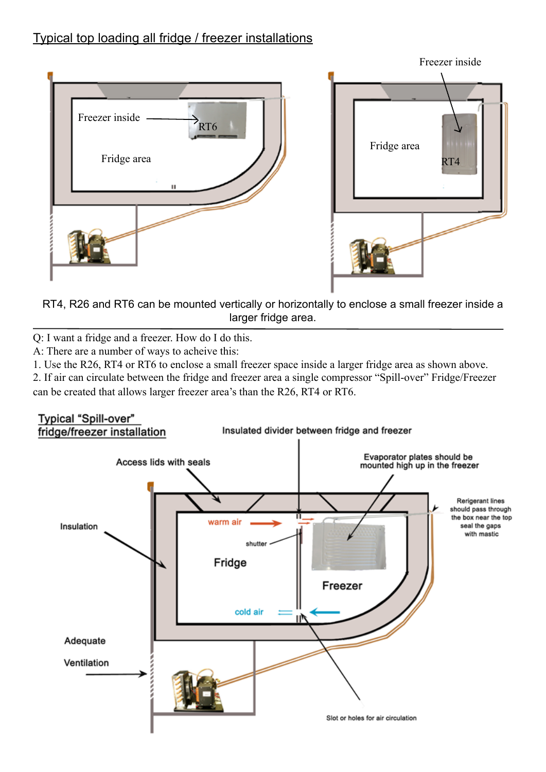# Typical top loading all fridge / freezer installations



RT4, R26 and RT6 can be mounted vertically or horizontally to enclose a small freezer inside a larger fridge area.

Q: I want a fridge and a freezer. How do I do this.

A: There are a number of ways to acheive this:

1. Use the R26, RT4 or RT6 to enclose a small freezer space inside a larger fridge area as shown above.

2. If air can circulate between the fridge and freezer area a single compressor "Spill-over" Fridge/Freezer can be created that allows larger freezer area's than the R26, RT4 or RT6.